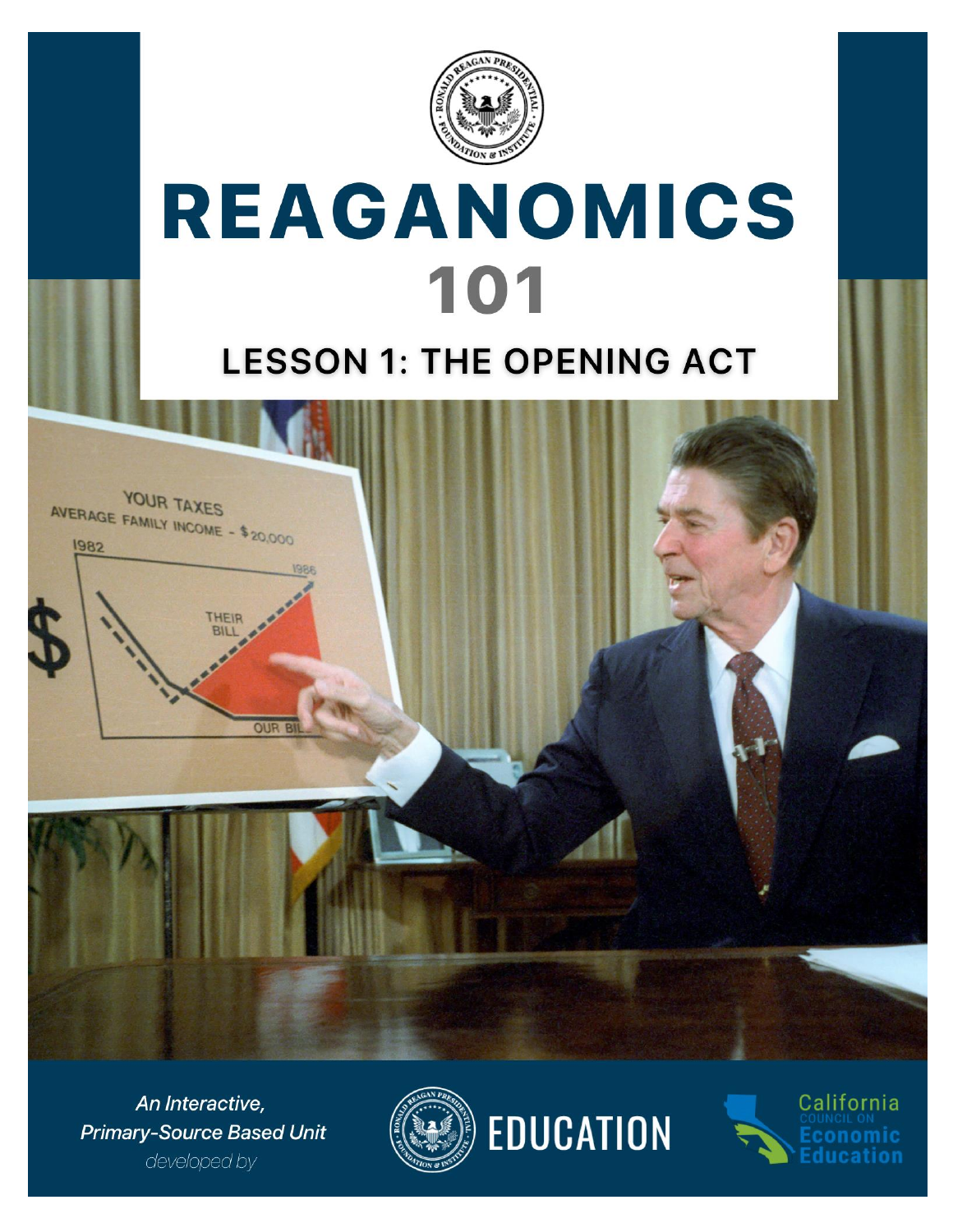

# REAGANOMICS 101

## **LESSON 1: THE OPENING ACT**



An Interactive, **Primary-Source Based Unit** developed by





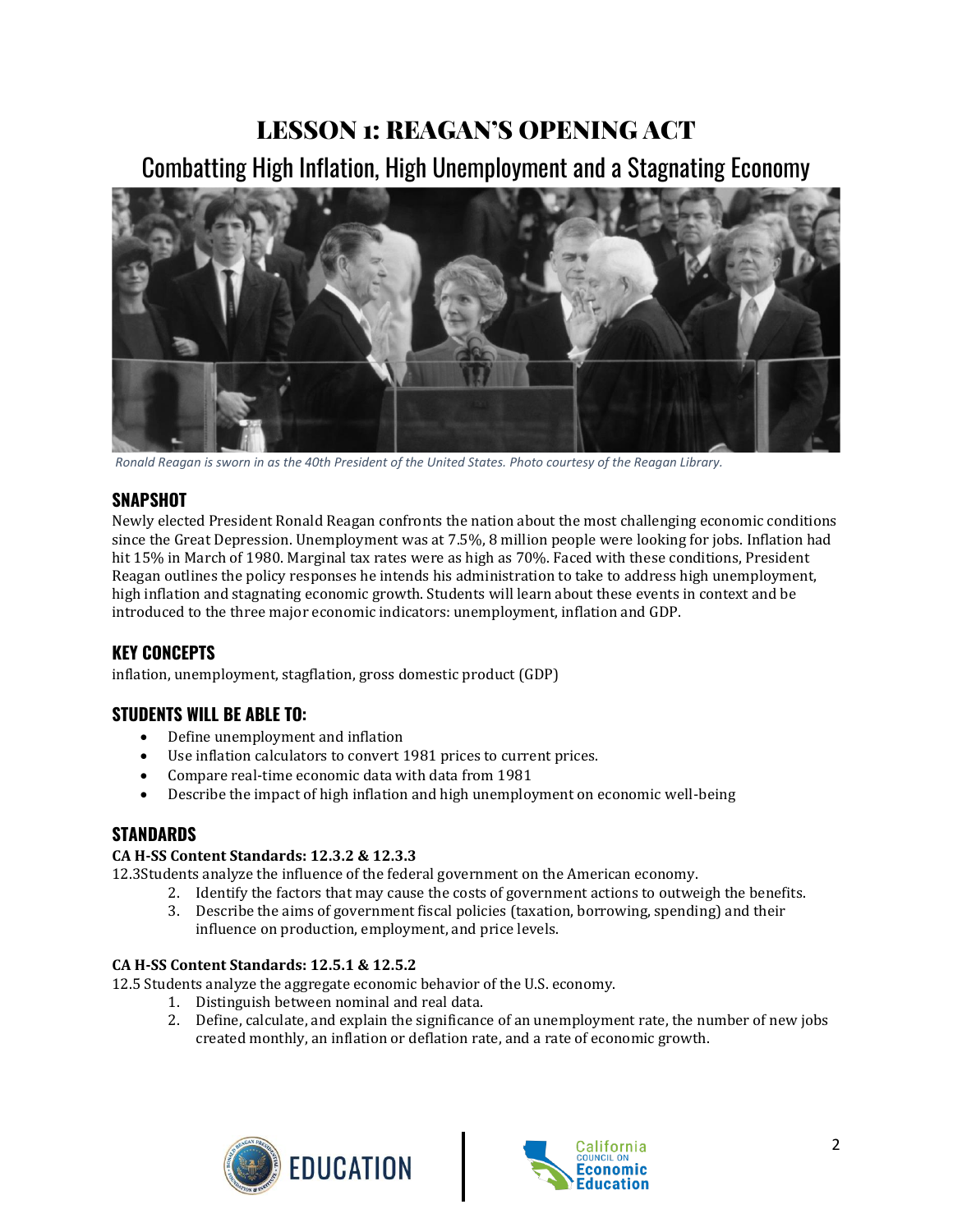## LESSON 1: REAGAN'S OPENING ACT

Combatting High Inflation, High Unemployment and a Stagnating Economy



*Ronald Reagan is sworn in as the 40th President of the United States. Photo courtesy of the Reagan Library.*

#### **SNAPSHOT**

Newly elected President Ronald Reagan confronts the nation about the most challenging economic conditions since the Great Depression. Unemployment was at 7.5%, 8 million people were looking for jobs. Inflation had hit 15% in March of 1980. Marginal tax rates were as high as 70%. Faced with these conditions, President Reagan outlines the policy responses he intends his administration to take to address high unemployment, high inflation and stagnating economic growth. Students will learn about these events in context and be introduced to the three major economic indicators: unemployment, inflation and GDP.

#### **KEY CONCEPTS**

inflation, unemployment, stagflation, gross domestic product (GDP)

#### **STUDENTS WILL BE ABLE TO:**

- Define unemployment and inflation
- Use inflation calculators to convert 1981 prices to current prices.
- Compare real-time economic data with data from 1981
- Describe the impact of high inflation and high unemployment on economic well-being

#### **STANDARDS**

#### **CA H-SS Content Standards: 12.3.2 & 12.3.3**

12.3Students analyze the influence of the federal government on the American economy.

- 2. Identify the factors that may cause the costs of government actions to outweigh the benefits.
- 3. Describe the aims of government fiscal policies (taxation, borrowing, spending) and their influence on production, employment, and price levels.

#### **CA H-SS Content Standards: 12.5.1 & 12.5.2**

12.5 Students analyze the aggregate economic behavior of the U.S. economy.

- 1. Distinguish between nominal and real data.
- 2. Define, calculate, and explain the significance of an unemployment rate, the number of new jobs created monthly, an inflation or deflation rate, and a rate of economic growth.



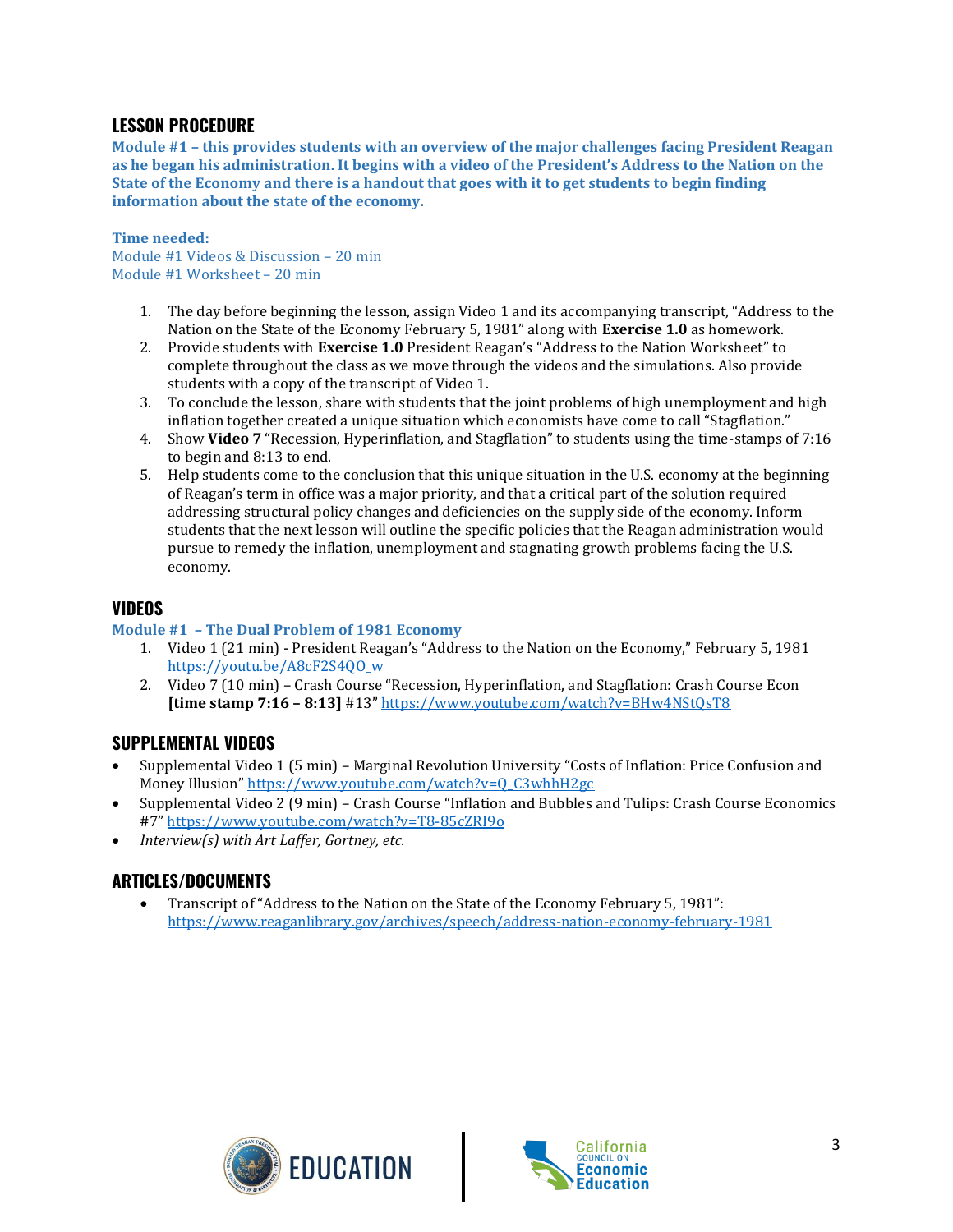#### **LESSON PROCEDURE**

**Module #1 – this provides students with an overview of the major challenges facing President Reagan as he began his administration. It begins with a video of the President's Address to the Nation on the State of the Economy and there is a handout that goes with it to get students to begin finding information about the state of the economy.** 

#### **Time needed:**

Module #1 Videos & Discussion – 20 min Module #1 Worksheet – 20 min

- 1. The day before beginning the lesson, assign Video 1 and its accompanying transcript, "Address to the Nation on the State of the Economy February 5, 1981" along with **Exercise 1.0** as homework.
- 2. Provide students with **Exercise 1.0** President Reagan's "Address to the Nation Worksheet" to complete throughout the class as we move through the videos and the simulations. Also provide students with a copy of the transcript of Video 1.
- 3. To conclude the lesson, share with students that the joint problems of high unemployment and high inflation together created a unique situation which economists have come to call "Stagflation."
- 4. Show **Video 7** "Recession, Hyperinflation, and Stagflation" to students using the time-stamps of 7:16 to begin and 8:13 to end.
- 5. Help students come to the conclusion that this unique situation in the U.S. economy at the beginning of Reagan's term in office was a major priority, and that a critical part of the solution required addressing structural policy changes and deficiencies on the supply side of the economy. Inform students that the next lesson will outline the specific policies that the Reagan administration would pursue to remedy the inflation, unemployment and stagnating growth problems facing the U.S. economy.

#### **VIDEOS**

#### **Module #1 – The Dual Problem of 1981 Economy**

- 1. Video 1 (21 min) President Reagan's "Address to the Nation on the Economy," February 5, 1981 [https://youtu.be/A8cF2S4QO\\_w](https://youtu.be/A8cF2S4QO_w)
- 2. Video 7 (10 min) Crash Course "Recession, Hyperinflation, and Stagflation: Crash Course Econ **[time stamp 7:16 – 8:13]** #13" <https://www.youtube.com/watch?v=BHw4NStQsT8>

#### **SUPPLEMENTAL VIDEOS**

- Supplemental Video 1 (5 min) Marginal Revolution University "Costs of Inflation: Price Confusion and Money Illusion" [https://www.youtube.com/watch?v=Q\\_C3whhH2gc](https://www.youtube.com/watch?v=Q_C3whhH2gc)
- Supplemental Video 2 (9 min) Crash Course "Inflation and Bubbles and Tulips: Crash Course Economics #7" <https://www.youtube.com/watch?v=T8-85cZRI9o>
- *Interview(s) with Art Laffer, Gortney, etc.*

#### **ARTICLES/DOCUMENTS**

• Transcript of "Address to the Nation on the State of the Economy February 5, 1981": <https://www.reaganlibrary.gov/archives/speech/address-nation-economy-february-1981>



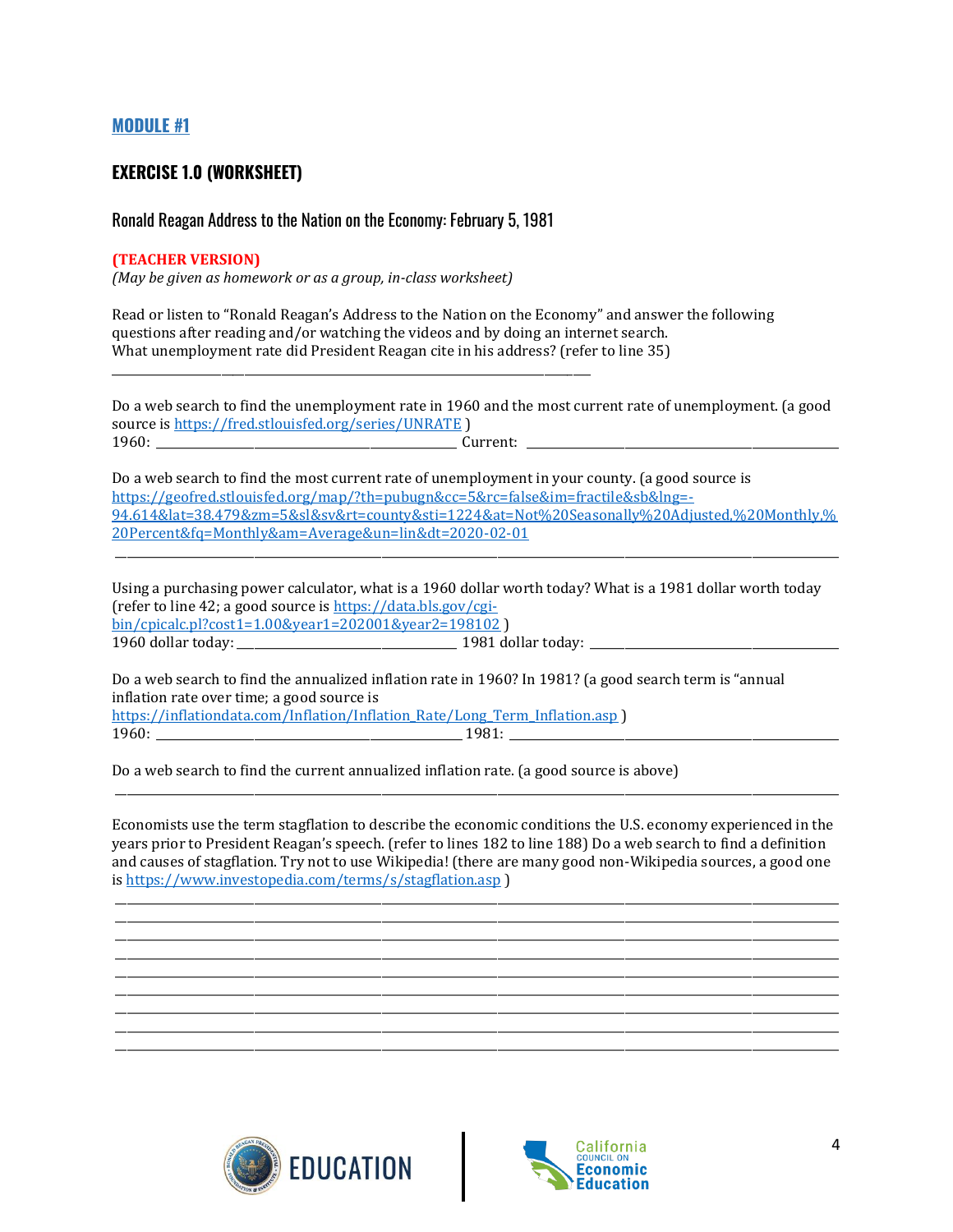#### **MODULE #1**

#### **EXERCISE 1.0 (WORKSHEET)**

#### Ronald Reagan Address to the Nation on the Economy: February 5, 1981

\_\_\_\_\_\_\_\_\_\_\_\_\_\_\_\_\_\_\_\_\_\_\_\_\_\_\_\_\_\_\_\_\_\_\_\_\_\_\_\_\_\_\_\_\_\_\_\_\_\_\_\_\_\_\_\_\_\_\_\_\_\_\_\_\_\_\_\_\_\_\_\_\_\_\_\_\_\_\_\_\_\_\_

#### **(TEACHER VERSION)**

*(May be given as homework or as a group, in-class worksheet)*

Read or listen to "Ronald Reagan's Address to the Nation on the Economy" and answer the following questions after reading and/or watching the videos and by doing an internet search. What unemployment rate did President Reagan cite in his address? (refer to line 35)

Do a web search to find the unemployment rate in 1960 and the most current rate of unemployment. (a good source is<https://fred.stlouisfed.org/series/UNRATE> )  $1960:$  Current:  $\sim$  2000 Current:  $\sim$  2000 Current:  $\sim$  2000 Current:  $\sim$  2000  $\sim$  2000  $\sim$  2000  $\sim$  2000  $\sim$  2000  $\sim$  2000  $\sim$  2000  $\sim$  2000  $\sim$  2000  $\sim$  2000  $\sim$  2000  $\sim$  2000  $\sim$  2000  $\sim$  2000  $\sim$  20

Do a web search to find the most current rate of unemployment in your county. (a good source is [https://geofred.stlouisfed.org/map/?th=pubugn&cc=5&rc=false&im=fractile&sb&lng=-](https://geofred.stlouisfed.org/map/?th=pubugn&cc=5&rc=false&im=fractile&sb&lng=-94.614&lat=38.479&zm=5&sl&sv&rt=county&sti=1224&at=Not%20Seasonally%20Adjusted,%20Monthly,%20Percent&fq=Monthly&am=Average&un=lin&dt=2020-02-01) [94.614&lat=38.479&zm=5&sl&sv&rt=county&sti=1224&at=Not%20Seasonally%20Adjusted,%20Monthly,%](https://geofred.stlouisfed.org/map/?th=pubugn&cc=5&rc=false&im=fractile&sb&lng=-94.614&lat=38.479&zm=5&sl&sv&rt=county&sti=1224&at=Not%20Seasonally%20Adjusted,%20Monthly,%20Percent&fq=Monthly&am=Average&un=lin&dt=2020-02-01) [20Percent&fq=Monthly&am=Average&un=lin&dt=2020-02-01](https://geofred.stlouisfed.org/map/?th=pubugn&cc=5&rc=false&im=fractile&sb&lng=-94.614&lat=38.479&zm=5&sl&sv&rt=county&sti=1224&at=Not%20Seasonally%20Adjusted,%20Monthly,%20Percent&fq=Monthly&am=Average&un=lin&dt=2020-02-01)

\_\_\_\_\_\_\_\_\_\_\_\_\_\_\_\_\_\_\_\_\_\_\_\_\_\_\_\_\_\_\_\_\_\_\_\_\_\_\_\_\_\_\_\_\_\_\_\_\_\_\_\_\_\_\_\_\_\_\_\_\_\_\_\_\_\_\_\_\_\_\_\_\_\_\_\_\_\_\_\_\_\_\_\_\_\_\_\_\_\_\_\_\_\_\_\_\_\_\_\_\_\_\_\_\_\_\_\_\_\_\_\_\_\_\_\_\_\_\_\_\_\_\_\_\_

Using a purchasing power calculator, what is a 1960 dollar worth today? What is a 1981 dollar worth today (refer to line 42; a good source i[s https://data.bls.gov/cgi](https://data.bls.gov/cgi-bin/cpicalc.pl?cost1=1.00&year1=202001&year2=198102)[bin/cpicalc.pl?cost1=1.00&year1=202001&year2=198102](https://data.bls.gov/cgi-bin/cpicalc.pl?cost1=1.00&year1=202001&year2=198102) ) 1960 dollar today: \_\_\_\_\_\_\_\_\_\_\_\_\_\_\_\_\_\_\_\_\_\_\_\_\_\_\_\_\_\_\_\_\_\_\_\_\_\_ 1981 dollar today: \_\_\_\_\_\_\_\_\_\_\_\_\_\_\_\_\_\_\_\_\_\_\_\_\_\_\_\_\_\_\_\_\_\_\_\_\_\_\_\_\_\_\_

Do a web search to find the annualized inflation rate in 1960? In 1981? (a good search term is "annual inflation rate over time; a good source is [https://inflationdata.com/Inflation/Inflation\\_Rate/Long\\_Term\\_Inflation.asp](https://inflationdata.com/Inflation/Inflation_Rate/Long_Term_Inflation.asp) ) 1960: \_\_\_\_\_\_\_\_\_\_\_\_\_\_\_\_\_\_\_\_\_\_\_\_\_\_\_\_\_\_\_\_\_\_\_\_\_\_\_\_\_\_\_\_\_\_\_\_\_\_\_\_\_ 1981: \_\_\_\_\_\_\_\_\_\_\_\_\_\_\_\_\_\_\_\_\_\_\_\_\_\_\_\_\_\_\_\_\_\_\_\_\_\_\_\_\_\_\_\_\_\_\_\_\_\_\_\_\_\_\_\_\_

Do a web search to find the current annualized inflation rate. (a good source is above)

Economists use the term stagflation to describe the economic conditions the U.S. economy experienced in the years prior to President Reagan's speech. (refer to lines 182 to line 188) Do a web search to find a definition and causes of stagflation. Try not to use Wikipedia! (there are many good non-Wikipedia sources, a good one i[s https://www.investopedia.com/terms/s/stagflation.asp](https://www.investopedia.com/terms/s/stagflation.asp) )

\_\_\_\_\_\_\_\_\_\_\_\_\_\_\_\_\_\_\_\_\_\_\_\_\_\_\_\_\_\_\_\_\_\_\_\_\_\_\_\_\_\_\_\_\_\_\_\_\_\_\_\_\_\_\_\_\_\_\_\_\_\_\_\_\_\_\_\_\_\_\_\_\_\_\_\_\_\_\_\_\_\_\_\_\_\_\_\_\_\_\_\_\_\_\_\_\_\_\_\_\_\_\_\_\_\_\_\_\_\_\_\_\_\_\_\_\_\_\_\_\_\_\_\_\_

\_\_\_\_\_\_\_\_\_\_\_\_\_\_\_\_\_\_\_\_\_\_\_\_\_\_\_\_\_\_\_\_\_\_\_\_\_\_\_\_\_\_\_\_\_\_\_\_\_\_\_\_\_\_\_\_\_\_\_\_\_\_\_\_\_\_\_\_\_\_\_\_\_\_\_\_\_\_\_\_\_\_\_\_\_\_\_\_\_\_\_\_\_\_\_\_\_\_\_\_\_\_\_\_\_\_\_\_\_\_\_\_\_\_\_\_\_\_\_\_\_\_\_\_\_ \_\_\_\_\_\_\_\_\_\_\_\_\_\_\_\_\_\_\_\_\_\_\_\_\_\_\_\_\_\_\_\_\_\_\_\_\_\_\_\_\_\_\_\_\_\_\_\_\_\_\_\_\_\_\_\_\_\_\_\_\_\_\_\_\_\_\_\_\_\_\_\_\_\_\_\_\_\_\_\_\_\_\_\_\_\_\_\_\_\_\_\_\_\_\_\_\_\_\_\_\_\_\_\_\_\_\_\_\_\_\_\_\_\_\_\_\_\_\_\_\_\_\_\_\_ \_\_\_\_\_\_\_\_\_\_\_\_\_\_\_\_\_\_\_\_\_\_\_\_\_\_\_\_\_\_\_\_\_\_\_\_\_\_\_\_\_\_\_\_\_\_\_\_\_\_\_\_\_\_\_\_\_\_\_\_\_\_\_\_\_\_\_\_\_\_\_\_\_\_\_\_\_\_\_\_\_\_\_\_\_\_\_\_\_\_\_\_\_\_\_\_\_\_\_\_\_\_\_\_\_\_\_\_\_\_\_\_\_\_\_\_\_\_\_\_\_\_\_\_\_ \_\_\_\_\_\_\_\_\_\_\_\_\_\_\_\_\_\_\_\_\_\_\_\_\_\_\_\_\_\_\_\_\_\_\_\_\_\_\_\_\_\_\_\_\_\_\_\_\_\_\_\_\_\_\_\_\_\_\_\_\_\_\_\_\_\_\_\_\_\_\_\_\_\_\_\_\_\_\_\_\_\_\_\_\_\_\_\_\_\_\_\_\_\_\_\_\_\_\_\_\_\_\_\_\_\_\_\_\_\_\_\_\_\_\_\_\_\_\_\_\_\_\_\_\_

\_\_\_\_\_\_\_\_\_\_\_\_\_\_\_\_\_\_\_\_\_\_\_\_\_\_\_\_\_\_\_\_\_\_\_\_\_\_\_\_\_\_\_\_\_\_\_\_\_\_\_\_\_\_\_\_\_\_\_\_\_\_\_\_\_\_\_\_\_\_\_\_\_\_\_\_\_\_\_\_\_\_\_\_\_\_\_\_\_\_\_\_\_\_\_\_\_\_\_\_\_\_\_\_\_\_\_\_\_\_\_\_\_\_\_\_\_\_\_\_\_\_\_\_\_ \_\_\_\_\_\_\_\_\_\_\_\_\_\_\_\_\_\_\_\_\_\_\_\_\_\_\_\_\_\_\_\_\_\_\_\_\_\_\_\_\_\_\_\_\_\_\_\_\_\_\_\_\_\_\_\_\_\_\_\_\_\_\_\_\_\_\_\_\_\_\_\_\_\_\_\_\_\_\_\_\_\_\_\_\_\_\_\_\_\_\_\_\_\_\_\_\_\_\_\_\_\_\_\_\_\_\_\_\_\_\_\_\_\_\_\_\_\_\_\_\_\_\_\_\_

\_\_\_\_\_\_\_\_\_\_\_\_\_\_\_\_\_\_\_\_\_\_\_\_\_\_\_\_\_\_\_\_\_\_\_\_\_\_\_\_\_\_\_\_\_\_\_\_\_\_\_\_\_\_\_\_\_\_\_\_\_\_\_\_\_\_\_\_\_\_\_\_\_\_\_\_\_\_\_\_\_\_\_\_\_\_\_\_\_\_\_\_\_\_\_\_\_\_\_\_\_\_\_\_\_\_\_\_\_\_\_\_\_\_\_\_\_\_\_\_\_\_\_\_\_



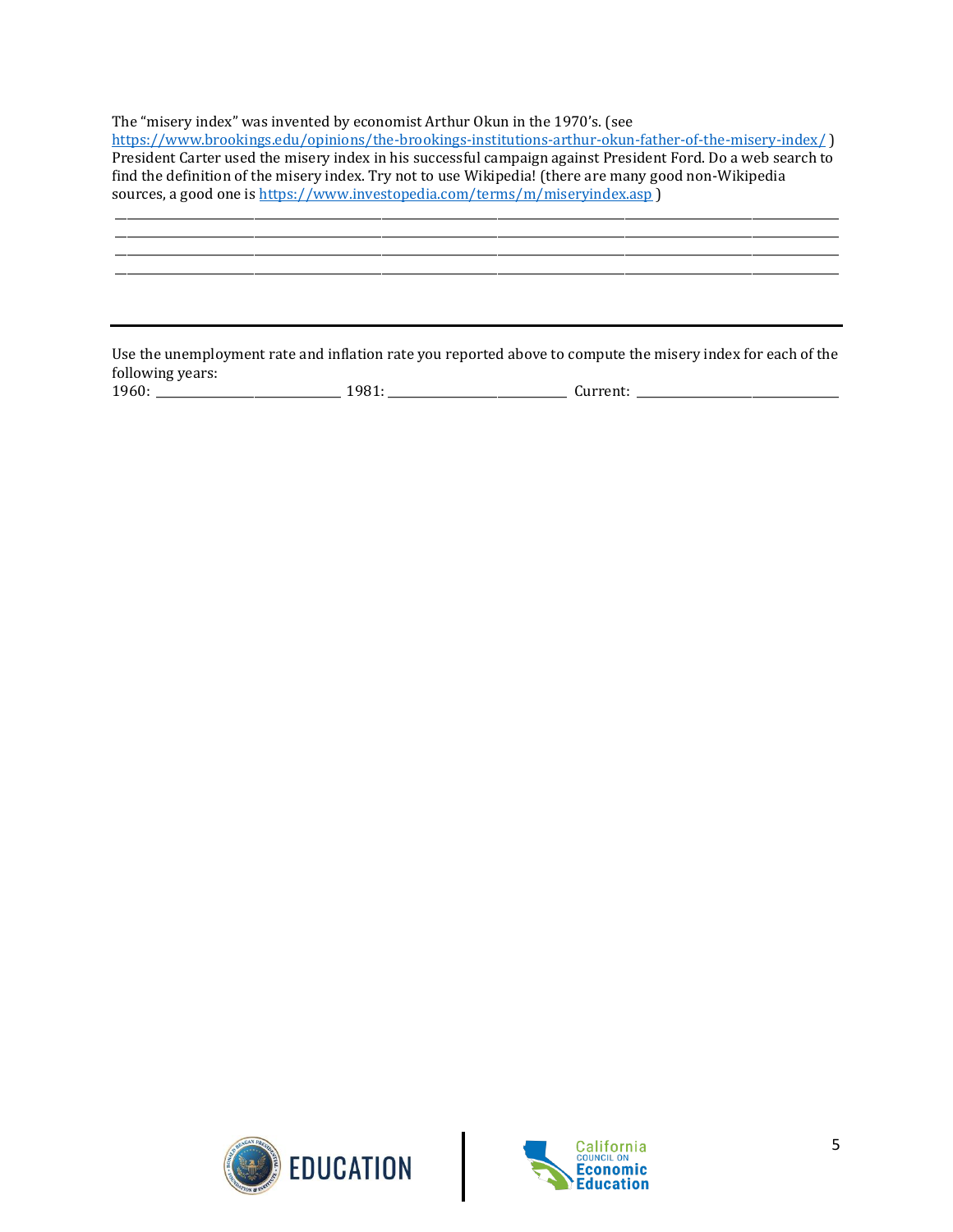The "misery index" was invented by economist Arthur Okun in the 1970's. (see

<https://www.brookings.edu/opinions/the-brookings-institutions-arthur-okun-father-of-the-misery-index/> ) President Carter used the misery index in his successful campaign against President Ford. Do a web search to find the definition of the misery index. Try not to use Wikipedia! (there are many good non-Wikipedia sources, a good one i[s https://www.investopedia.com/terms/m/miseryindex.asp](https://www.investopedia.com/terms/m/miseryindex.asp) )

\_\_\_\_\_\_\_\_\_\_\_\_\_\_\_\_\_\_\_\_\_\_\_\_\_\_\_\_\_\_\_\_\_\_\_\_\_\_\_\_\_\_\_\_\_\_\_\_\_\_\_\_\_\_\_\_\_\_\_\_\_\_\_\_\_\_\_\_\_\_\_\_\_\_\_\_\_\_\_\_\_\_\_\_\_\_\_\_\_\_\_\_\_\_\_\_\_\_\_\_\_\_\_\_\_\_\_\_\_\_\_\_\_\_\_\_\_\_\_\_\_\_\_\_\_ \_\_\_\_\_\_\_\_\_\_\_\_\_\_\_\_\_\_\_\_\_\_\_\_\_\_\_\_\_\_\_\_\_\_\_\_\_\_\_\_\_\_\_\_\_\_\_\_\_\_\_\_\_\_\_\_\_\_\_\_\_\_\_\_\_\_\_\_\_\_\_\_\_\_\_\_\_\_\_\_\_\_\_\_\_\_\_\_\_\_\_\_\_\_\_\_\_\_\_\_\_\_\_\_\_\_\_\_\_\_\_\_\_\_\_\_\_\_\_\_\_\_\_\_\_

Use the unemployment rate and inflation rate you reported above to compute the misery index for each of the following years: 1960: \_\_\_\_\_\_\_\_\_\_\_\_\_\_\_\_\_\_\_\_\_\_\_\_\_\_\_\_\_\_\_\_ 1981:\_\_\_\_\_\_\_\_\_\_\_\_\_\_\_\_\_\_\_\_\_\_\_\_\_\_\_\_\_\_\_ Current: \_\_\_\_\_\_\_\_\_\_\_\_\_\_\_\_\_\_\_\_\_\_\_\_\_\_\_\_\_\_\_\_\_\_\_



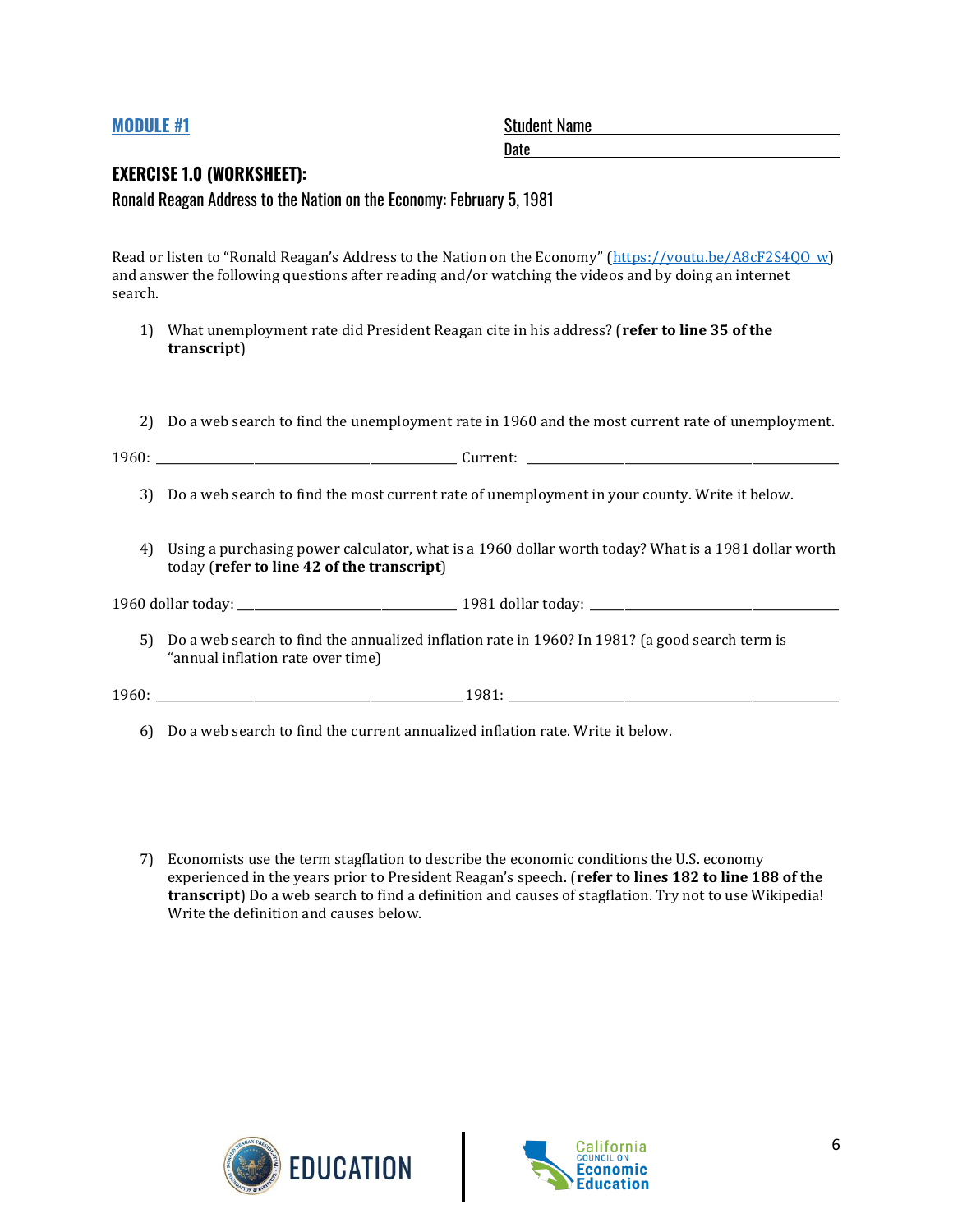| <b>MODULE #1</b> |                                                                                                                                                   | <b>Student Name</b>                                                                                     |  |  |  |
|------------------|---------------------------------------------------------------------------------------------------------------------------------------------------|---------------------------------------------------------------------------------------------------------|--|--|--|
|                  | <b>EXERCISE 1.0 (WORKSHEET):</b><br>Ronald Reagan Address to the Nation on the Economy: February 5, 1981                                          |                                                                                                         |  |  |  |
| search.          | and answer the following questions after reading and/or watching the videos and by doing an internet                                              | Read or listen to "Ronald Reagan's Address to the Nation on the Economy" (https://youtu.be/A8cF2S400 w) |  |  |  |
| 1)               | What unemployment rate did President Reagan cite in his address? (refer to line 35 of the<br>transcript)                                          |                                                                                                         |  |  |  |
| 2)               |                                                                                                                                                   | Do a web search to find the unemployment rate in 1960 and the most current rate of unemployment.        |  |  |  |
| 3)               | Do a web search to find the most current rate of unemployment in your county. Write it below.                                                     |                                                                                                         |  |  |  |
| 4)               | Using a purchasing power calculator, what is a 1960 dollar worth today? What is a 1981 dollar worth<br>today (refer to line 42 of the transcript) |                                                                                                         |  |  |  |
|                  |                                                                                                                                                   |                                                                                                         |  |  |  |
| 5)               | Do a web search to find the annualized inflation rate in 1960? In 1981? (a good search term is<br>"annual inflation rate over time)               |                                                                                                         |  |  |  |
|                  |                                                                                                                                                   |                                                                                                         |  |  |  |
|                  | 6) Do a web search to find the current annualized inflation rate. Write it below.                                                                 |                                                                                                         |  |  |  |

7) Economists use the term stagflation to describe the economic conditions the U.S. economy experienced in the years prior to President Reagan's speech. (**refer to lines 182 to line 188 of the transcript**) Do a web search to find a definition and causes of stagflation. Try not to use Wikipedia! Write the definition and causes below.



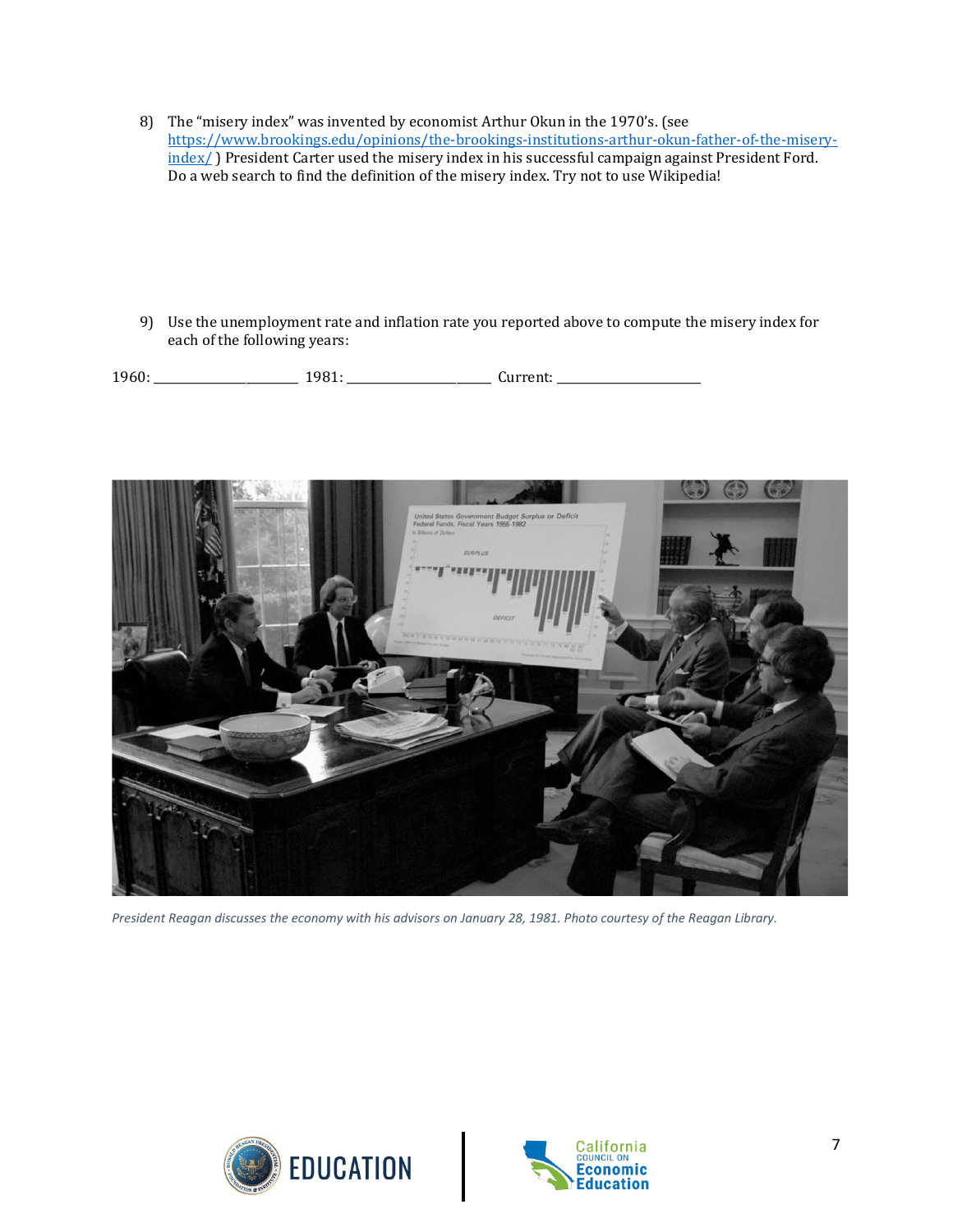8) The "misery index" was invented by economist Arthur Okun in the 1970's. (see [https://www.brookings.edu/opinions/the-brookings-institutions-arthur-okun-father-of-the-misery](https://www.brookings.edu/opinions/the-brookings-institutions-arthur-okun-father-of-the-misery-index/)[index/](https://www.brookings.edu/opinions/the-brookings-institutions-arthur-okun-father-of-the-misery-index/) ) President Carter used the misery index in his successful campaign against President Ford. Do a web search to find the definition of the misery index. Try not to use Wikipedia!

9) Use the unemployment rate and inflation rate you reported above to compute the misery index for each of the following years:

1960: \_\_\_\_\_\_\_\_\_\_\_\_\_\_\_\_\_\_\_\_\_\_\_\_\_ 1981: \_\_\_\_\_\_\_\_\_\_\_\_\_\_\_\_\_\_\_\_\_\_\_\_\_ Current: \_\_\_\_\_\_\_\_\_\_\_\_\_\_\_\_\_\_\_\_\_\_\_\_\_



*President Reagan discusses the economy with his advisors on January 28, 1981. Photo courtesy of the Reagan Library.*



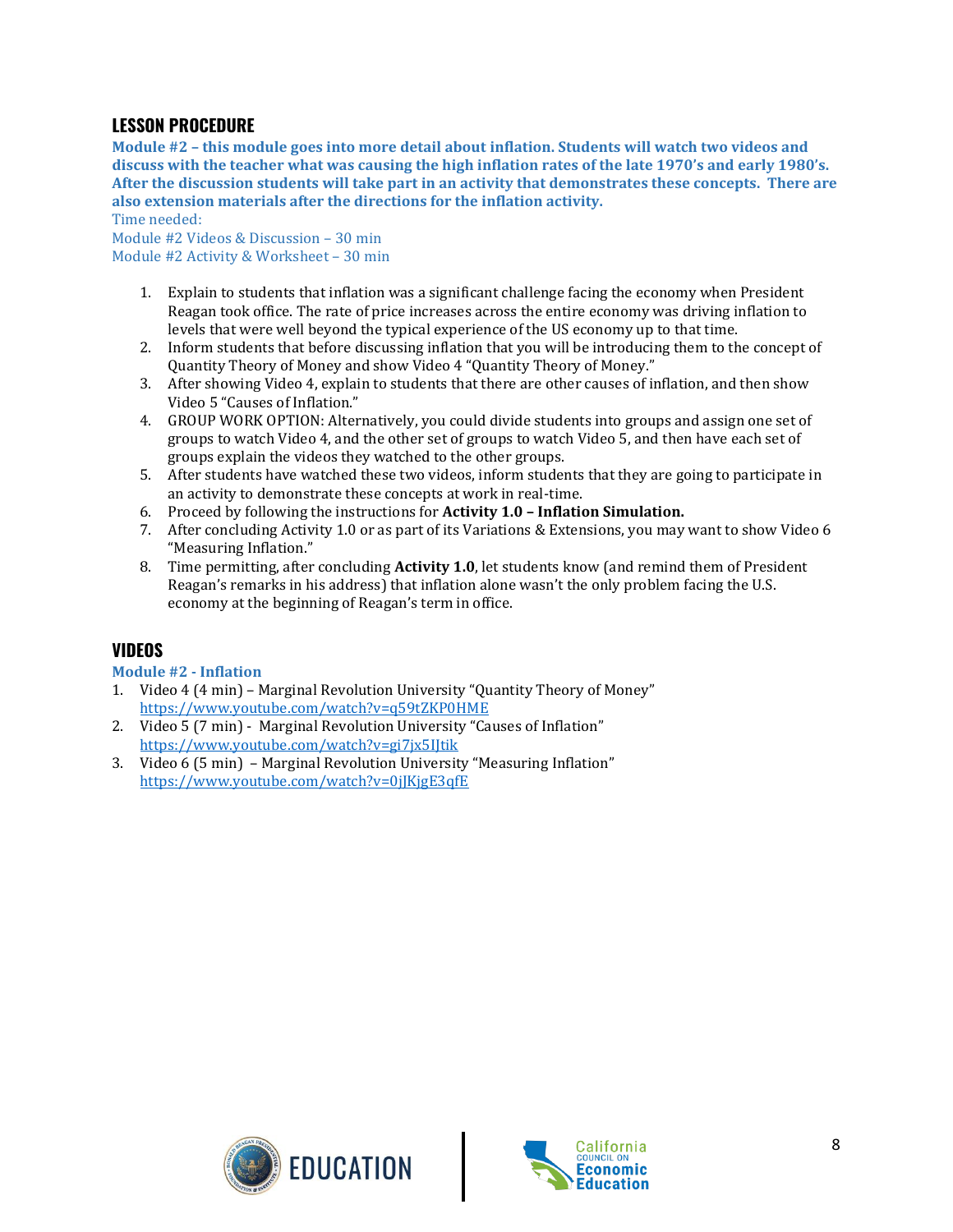#### **LESSON PROCEDURE**

**Module #2 – this module goes into more detail about inflation. Students will watch two videos and discuss with the teacher what was causing the high inflation rates of the late 1970's and early 1980's. After the discussion students will take part in an activity that demonstrates these concepts. There are also extension materials after the directions for the inflation activity.** 

Time needed:

Module #2 Videos & Discussion – 30 min Module #2 Activity & Worksheet – 30 min

- 1. Explain to students that inflation was a significant challenge facing the economy when President Reagan took office. The rate of price increases across the entire economy was driving inflation to levels that were well beyond the typical experience of the US economy up to that time.
- 2. Inform students that before discussing inflation that you will be introducing them to the concept of Quantity Theory of Money and show Video 4 "Quantity Theory of Money."
- 3. After showing Video 4, explain to students that there are other causes of inflation, and then show Video 5 "Causes of Inflation."
- 4. GROUP WORK OPTION: Alternatively, you could divide students into groups and assign one set of groups to watch Video 4, and the other set of groups to watch Video 5, and then have each set of groups explain the videos they watched to the other groups.
- 5. After students have watched these two videos, inform students that they are going to participate in an activity to demonstrate these concepts at work in real-time.
- 6. Proceed by following the instructions for **Activity 1.0 – Inflation Simulation.**
- 7. After concluding Activity 1.0 or as part of its Variations & Extensions, you may want to show Video 6 "Measuring Inflation."
- 8. Time permitting, after concluding **Activity 1.0**, let students know (and remind them of President Reagan's remarks in his address) that inflation alone wasn't the only problem facing the U.S. economy at the beginning of Reagan's term in office.

#### **VIDEOS**

#### **Module #2 - Inflation**

- 1. Video 4 (4 min) Marginal Revolution University "Quantity Theory of Money" <https://www.youtube.com/watch?v=q59tZKP0HME>
- 2. Video 5 (7 min) Marginal Revolution University "Causes of Inflation" <https://www.youtube.com/watch?v=gi7jx5IJtik>
- 3. Video 6 (5 min) Marginal Revolution University "Measuring Inflation" <https://www.youtube.com/watch?v=0jJKjgE3qfE>



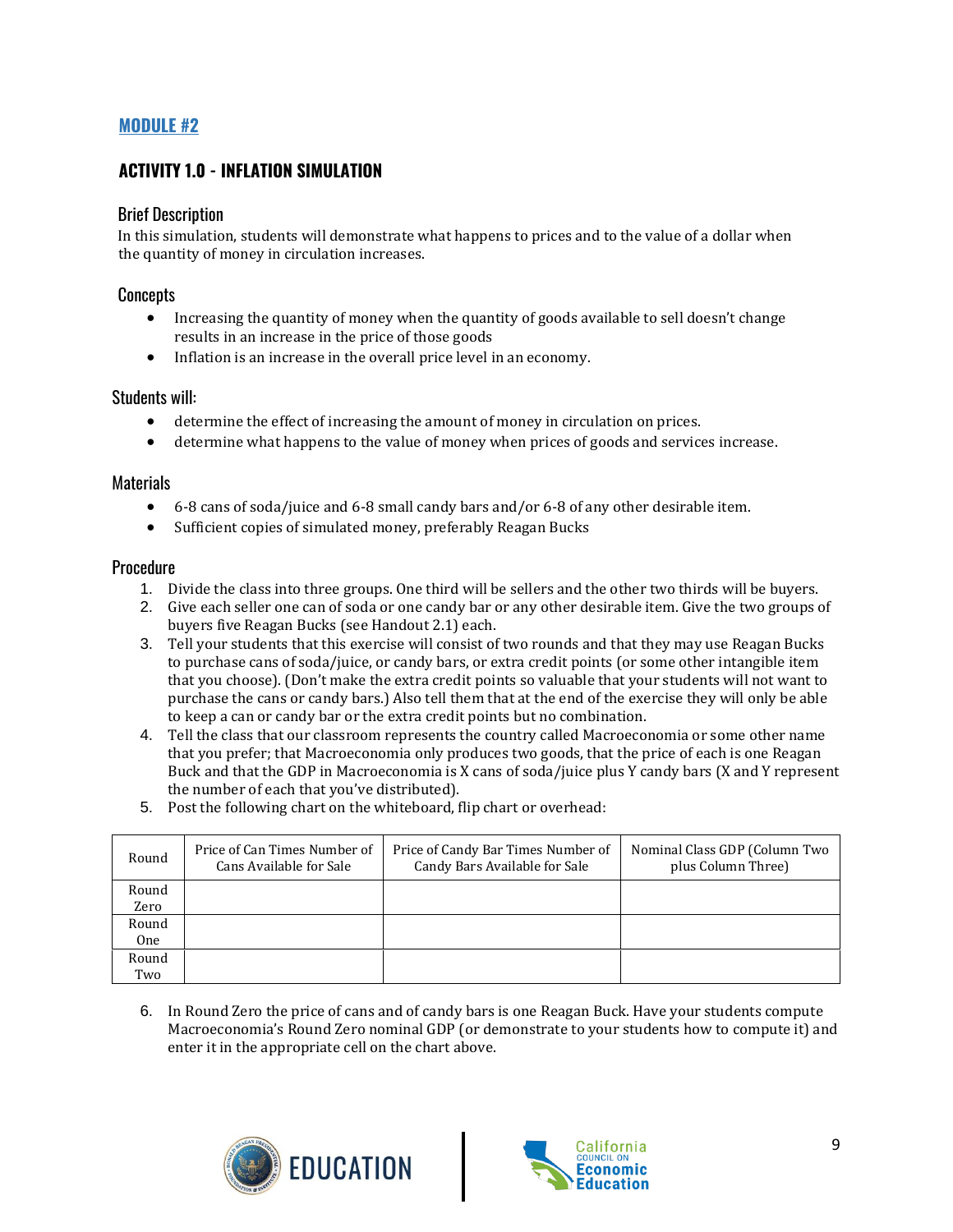#### **MODULE #2**

#### **ACTIVITY 1.0 - INFLATION SIMULATION**

#### Brief Description

In this simulation, students will demonstrate what happens to prices and to the value of a dollar when the quantity of money in circulation increases.

#### Concepts

- Increasing the quantity of money when the quantity of goods available to sell doesn't change results in an increase in the price of those goods
- Inflation is an increase in the overall price level in an economy.

#### Students will:

- determine the effect of increasing the amount of money in circulation on prices.
- determine what happens to the value of money when prices of goods and services increase.

#### Materials

- 6-8 cans of soda/juice and 6-8 small candy bars and/or 6-8 of any other desirable item.
- Sufficient copies of simulated money, preferably Reagan Bucks

#### **Procedure**

- 1. Divide the class into three groups. One third will be sellers and the other two thirds will be buyers.
- 2. Give each seller one can of soda or one candy bar or any other desirable item. Give the two groups of buyers five Reagan Bucks (see Handout 2.1) each.
- 3. Tell your students that this exercise will consist of two rounds and that they may use Reagan Bucks to purchase cans of soda/juice, or candy bars, or extra credit points (or some other intangible item that you choose). (Don't make the extra credit points so valuable that your students will not want to purchase the cans or candy bars.) Also tell them that at the end of the exercise they will only be able to keep a can or candy bar or the extra credit points but no combination.
- 4. Tell the class that our classroom represents the country called Macroeconomia or some other name that you prefer; that Macroeconomia only produces two goods, that the price of each is one Reagan Buck and that the GDP in Macroeconomia is X cans of soda/juice plus Y candy bars (X and Y represent the number of each that you've distributed).
- 5. Post the following chart on the whiteboard, flip chart or overhead:

| Round      | Price of Can Times Number of<br>Cans Available for Sale | Price of Candy Bar Times Number of<br>Candy Bars Available for Sale | Nominal Class GDP (Column Two<br>plus Column Three) |
|------------|---------------------------------------------------------|---------------------------------------------------------------------|-----------------------------------------------------|
| Round      |                                                         |                                                                     |                                                     |
| Zero       |                                                         |                                                                     |                                                     |
| Round      |                                                         |                                                                     |                                                     |
| <b>One</b> |                                                         |                                                                     |                                                     |
| Round      |                                                         |                                                                     |                                                     |
| Two        |                                                         |                                                                     |                                                     |

6. In Round Zero the price of cans and of candy bars is one Reagan Buck. Have your students compute Macroeconomia's Round Zero nominal GDP (or demonstrate to your students how to compute it) and enter it in the appropriate cell on the chart above.



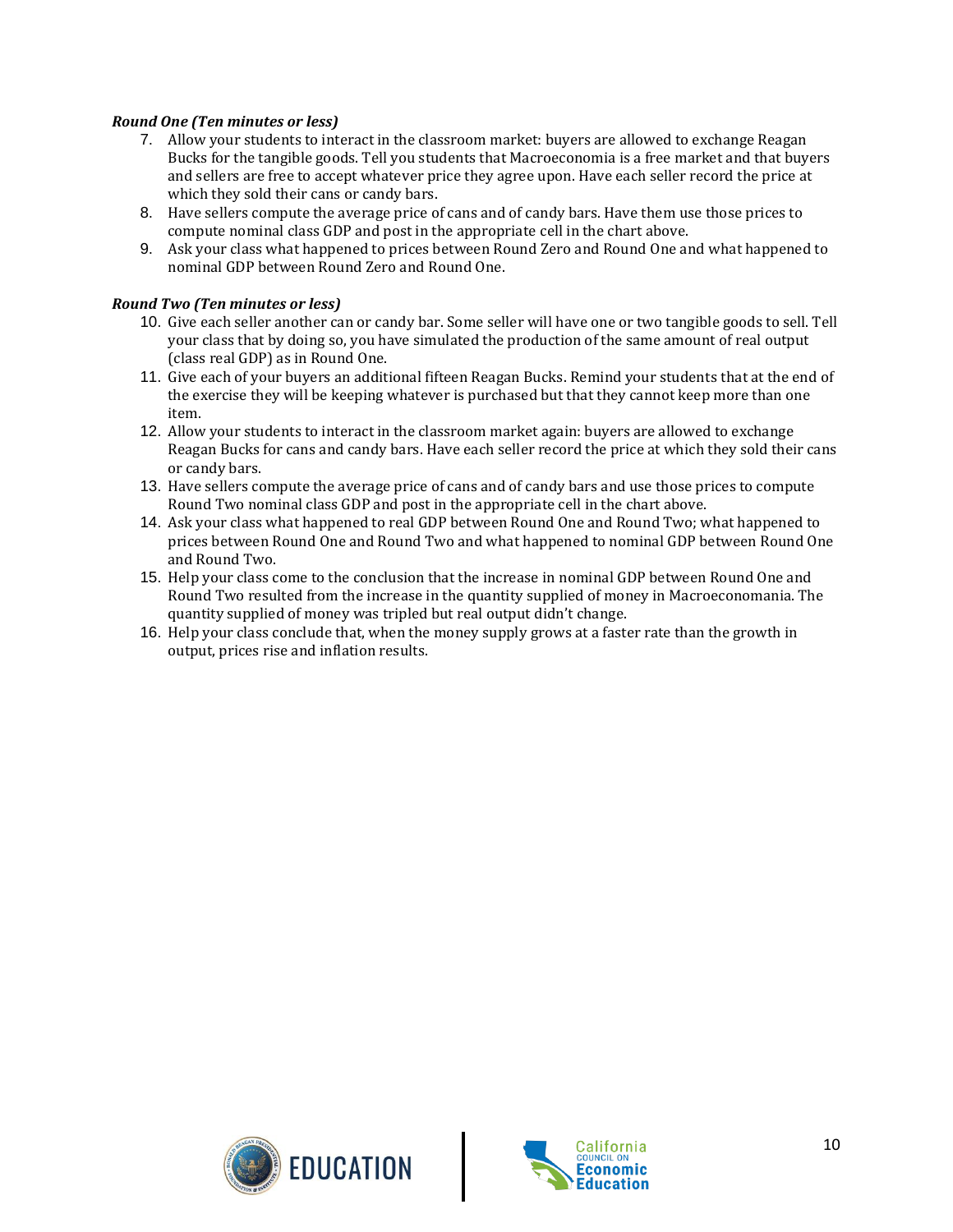#### *Round One (Ten minutes or less)*

- 7. Allow your students to interact in the classroom market: buyers are allowed to exchange Reagan Bucks for the tangible goods. Tell you students that Macroeconomia is a free market and that buyers and sellers are free to accept whatever price they agree upon. Have each seller record the price at which they sold their cans or candy bars.
- 8. Have sellers compute the average price of cans and of candy bars. Have them use those prices to compute nominal class GDP and post in the appropriate cell in the chart above.
- 9. Ask your class what happened to prices between Round Zero and Round One and what happened to nominal GDP between Round Zero and Round One.

#### *Round Two (Ten minutes or less)*

- 10. Give each seller another can or candy bar. Some seller will have one or two tangible goods to sell. Tell your class that by doing so, you have simulated the production of the same amount of real output (class real GDP) as in Round One.
- 11. Give each of your buyers an additional fifteen Reagan Bucks. Remind your students that at the end of the exercise they will be keeping whatever is purchased but that they cannot keep more than one item.
- 12. Allow your students to interact in the classroom market again: buyers are allowed to exchange Reagan Bucks for cans and candy bars. Have each seller record the price at which they sold their cans or candy bars.
- 13. Have sellers compute the average price of cans and of candy bars and use those prices to compute Round Two nominal class GDP and post in the appropriate cell in the chart above.
- 14. Ask your class what happened to real GDP between Round One and Round Two; what happened to prices between Round One and Round Two and what happened to nominal GDP between Round One and Round Two.
- 15. Help your class come to the conclusion that the increase in nominal GDP between Round One and Round Two resulted from the increase in the quantity supplied of money in Macroeconomania. The quantity supplied of money was tripled but real output didn't change.
- 16. Help your class conclude that, when the money supply grows at a faster rate than the growth in output, prices rise and inflation results.



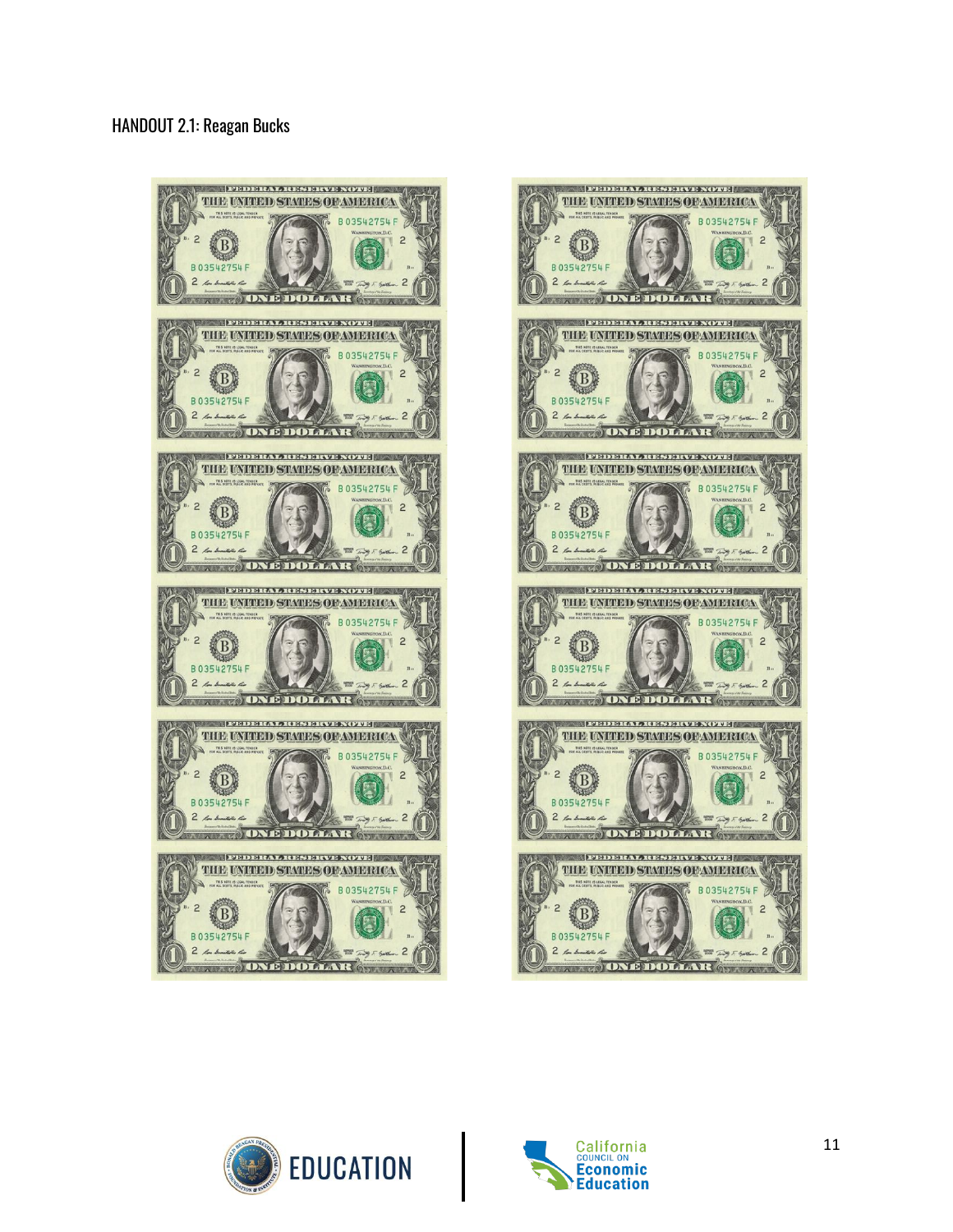#### HANDOUT 2.1: Reagan Bucks







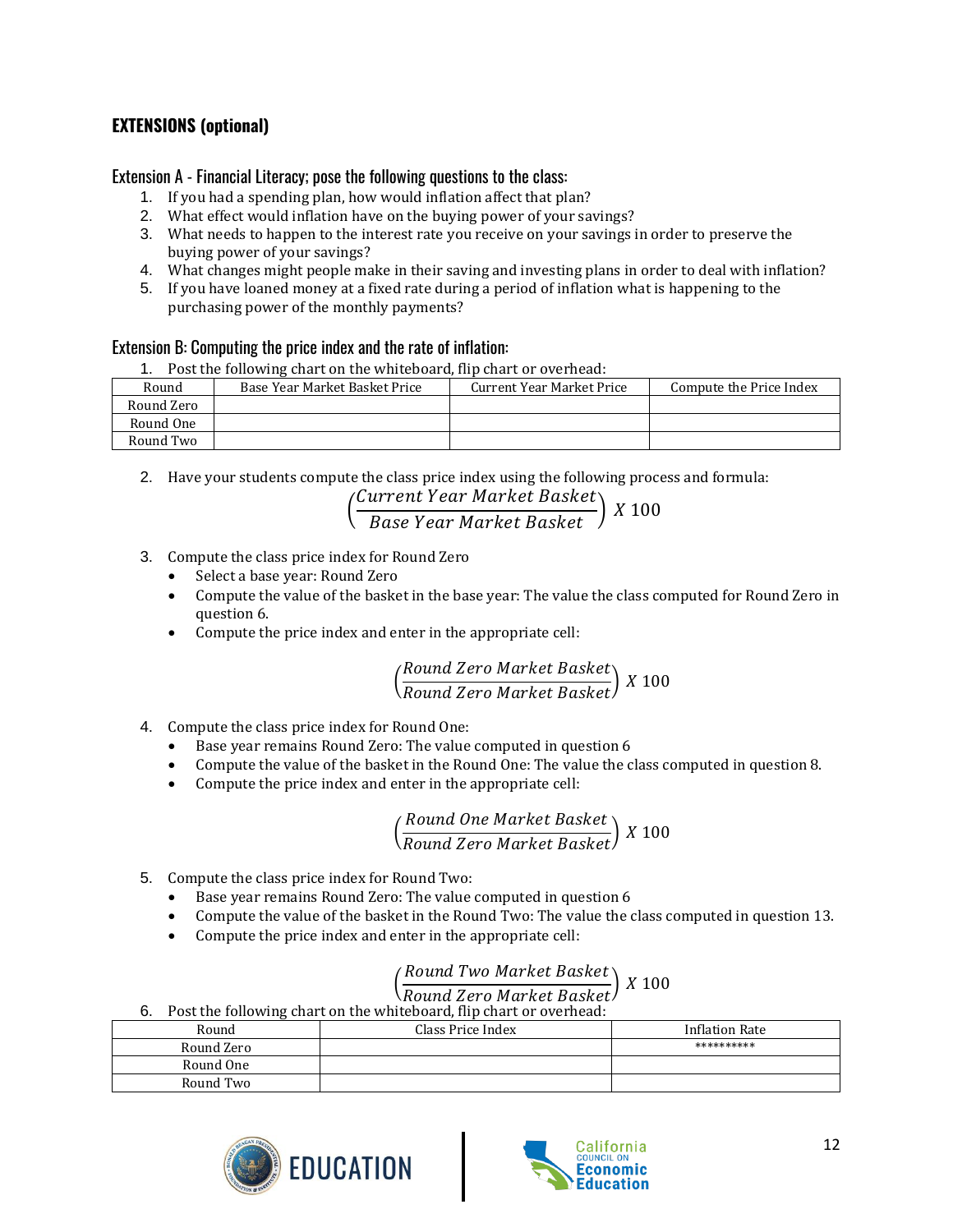### **EXTENSIONS (optional)**

#### Extension A - Financial Literacy; pose the following questions to the class:

- 1. If you had a spending plan, how would inflation affect that plan?
- 2. What effect would inflation have on the buying power of your savings?
- 3. What needs to happen to the interest rate you receive on your savings in order to preserve the buying power of your savings?
- 4. What changes might people make in their saving and investing plans in order to deal with inflation?
- 5. If you have loaned money at a fixed rate during a period of inflation what is happening to the purchasing power of the monthly payments?

#### Extension B: Computing the price index and the rate of inflation:

1. Post the following chart on the whiteboard, flip chart or overhead:

| Round      | Base Year Market Basket Price | Current Year Market Price | Compute the Price Index |
|------------|-------------------------------|---------------------------|-------------------------|
| Round Zero |                               |                           |                         |
| Round One  |                               |                           |                         |
| Round Two  |                               |                           |                         |

2. Have your students compute the class price index using the following process and formula:

| (Current Year Market Basket)<br>Base Year Market Basket) X 100 |  |  |
|----------------------------------------------------------------|--|--|
|                                                                |  |  |

- 3. Compute the class price index for Round Zero
	- Select a base year: Round Zero
	- Compute the value of the basket in the base year: The value the class computed for Round Zero in question 6.
	- Compute the price index and enter in the appropriate cell:

$$
\left(\frac{Round\ Zero\ Market\ Basket}{Round\ Zero\ Market\ Basket}\right) \ X \ 100
$$

- 4. Compute the class price index for Round One:
	- Base year remains Round Zero: The value computed in question 6
	- Compute the value of the basket in the Round One: The value the class computed in question 8.
	- Compute the price index and enter in the appropriate cell:

( ) <sup>100</sup>

- 5. Compute the class price index for Round Two:
	- Base year remains Round Zero: The value computed in question 6
	- Compute the value of the basket in the Round Two: The value the class computed in question 13.
	- Compute the price index and enter in the appropriate cell:

#### <sub>(</sub> Round Two Market Basket

## $\left(\frac{1}{\text{Round Zero Market Basic}}\right)$  X 100

6. Post the following chart on the whiteboard, flip chart or overhead:

| Round      | Class Price Index | <b>Inflation Rate</b> |
|------------|-------------------|-----------------------|
| Round Zero |                   | **********            |
| Round One  |                   |                       |
| Round Two  |                   |                       |



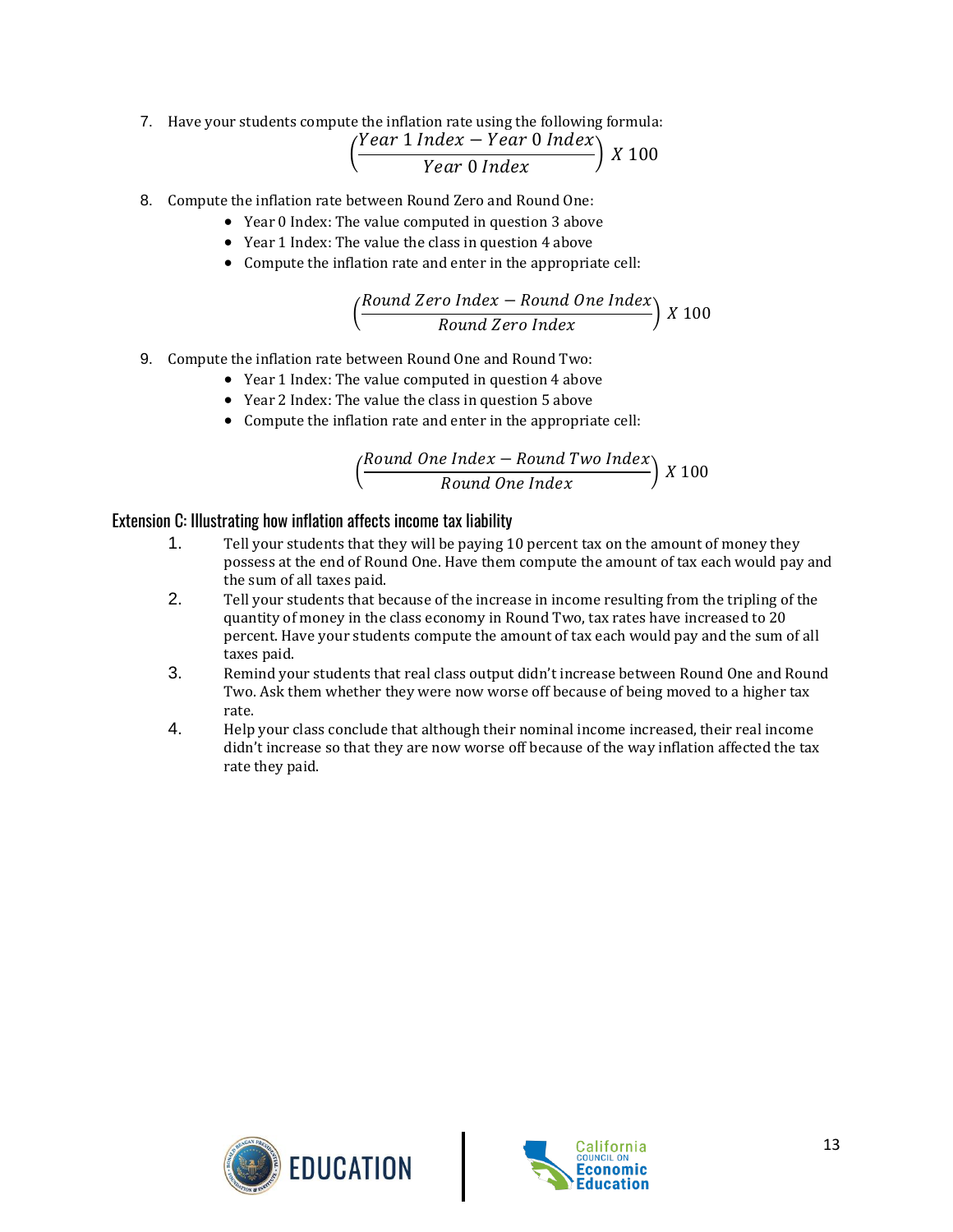7. Have your students compute the inflation rate using the following formula:

$$
\left(\frac{Year \; 1 \; Index - Year \; 0 \; Index}{Year \; 0 \; Index}\right) \; X \; 100
$$

- 8. Compute the inflation rate between Round Zero and Round One:
	- Year 0 Index: The value computed in question 3 above
		- Year 1 Index: The value the class in question 4 above
		- Compute the inflation rate and enter in the appropriate cell:

$$
\left(\frac{Round\ Zero\ Index - Round\ One\ Index}{Round\ Zero\ Index}\right) \ X\ 100
$$

- 9. Compute the inflation rate between Round One and Round Two:
	- Year 1 Index: The value computed in question 4 above
	- Year 2 Index: The value the class in question 5 above
	- Compute the inflation rate and enter in the appropriate cell:

$$
\left(\frac{Round\ One\ Index - Round\ Two\ Index}{Round\ One\ Index}\right)\ X\ 100
$$

#### Extension C: Illustrating how inflation affects income tax liability

- 1. Tell your students that they will be paying 10 percent tax on the amount of money they possess at the end of Round One. Have them compute the amount of tax each would pay and the sum of all taxes paid.
- 2. Tell your students that because of the increase in income resulting from the tripling of the quantity of money in the class economy in Round Two, tax rates have increased to 20 percent. Have your students compute the amount of tax each would pay and the sum of all taxes paid.
- 3. Remind your students that real class output didn't increase between Round One and Round Two. Ask them whether they were now worse off because of being moved to a higher tax rate.
- 4. Help your class conclude that although their nominal income increased, their real income didn't increase so that they are now worse off because of the way inflation affected the tax rate they paid.



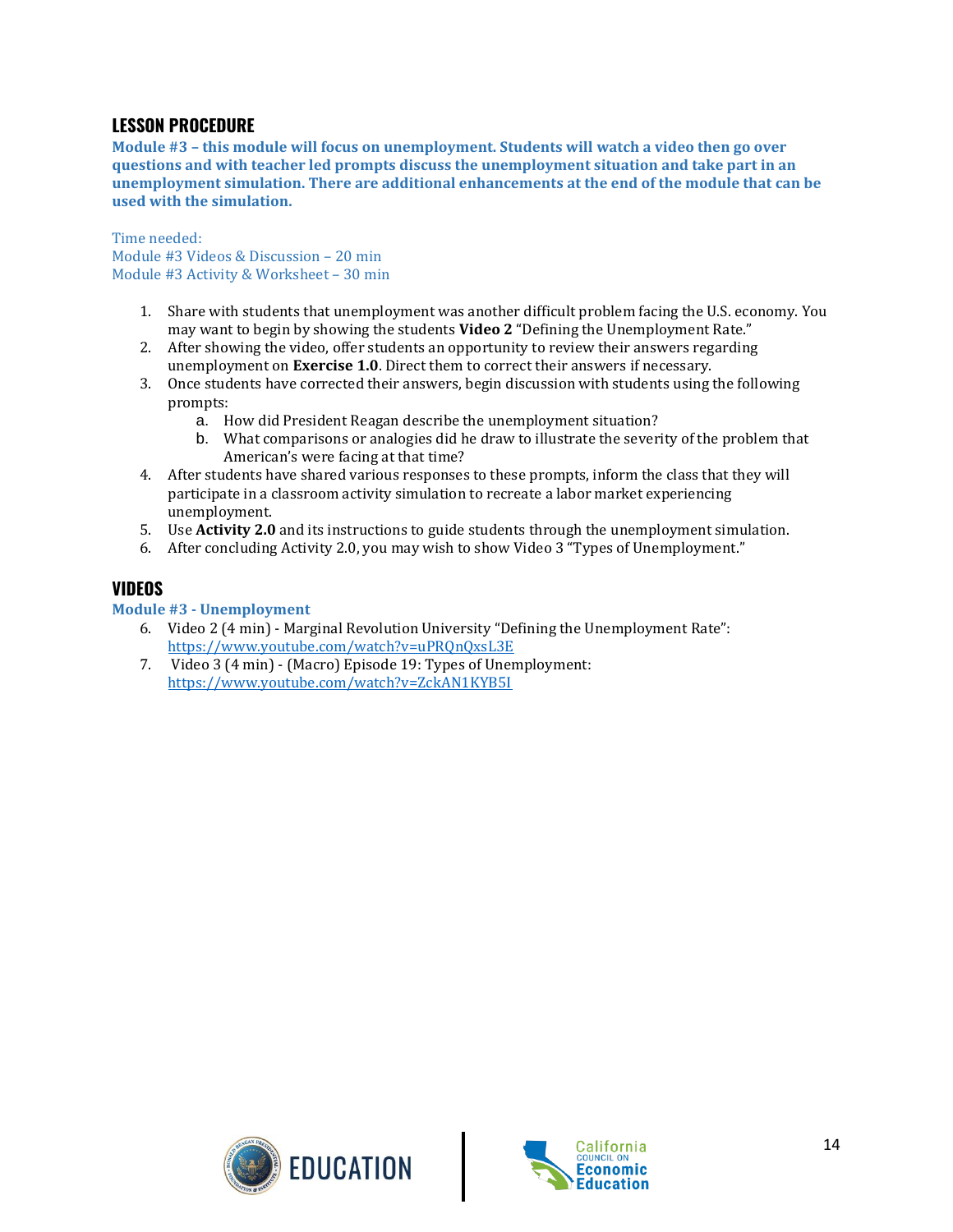#### **LESSON PROCEDURE**

**Module #3 – this module will focus on unemployment. Students will watch a video then go over questions and with teacher led prompts discuss the unemployment situation and take part in an unemployment simulation. There are additional enhancements at the end of the module that can be used with the simulation.** 

Time needed: Module #3 Videos & Discussion – 20 min Module #3 Activity & Worksheet – 30 min

- 1. Share with students that unemployment was another difficult problem facing the U.S. economy. You may want to begin by showing the students **Video 2** "Defining the Unemployment Rate."
- 2. After showing the video, offer students an opportunity to review their answers regarding unemployment on **Exercise 1.0**. Direct them to correct their answers if necessary.
- 3. Once students have corrected their answers, begin discussion with students using the following prompts:
	- a. How did President Reagan describe the unemployment situation?
	- b. What comparisons or analogies did he draw to illustrate the severity of the problem that American's were facing at that time?
- 4. After students have shared various responses to these prompts, inform the class that they will participate in a classroom activity simulation to recreate a labor market experiencing unemployment.
- 5. Use **Activity 2.0** and its instructions to guide students through the unemployment simulation.
- 6. After concluding Activity 2.0, you may wish to show Video 3 "Types of Unemployment."

#### **VIDEOS**

#### **Module #3 - Unemployment**

- 6. Video 2 (4 min) Marginal Revolution University "Defining the Unemployment Rate": <https://www.youtube.com/watch?v=uPRQnQxsL3E>
- 7. Video 3 (4 min) (Macro) Episode 19: Types of Unemployment: <https://www.youtube.com/watch?v=ZckAN1KYB5I>



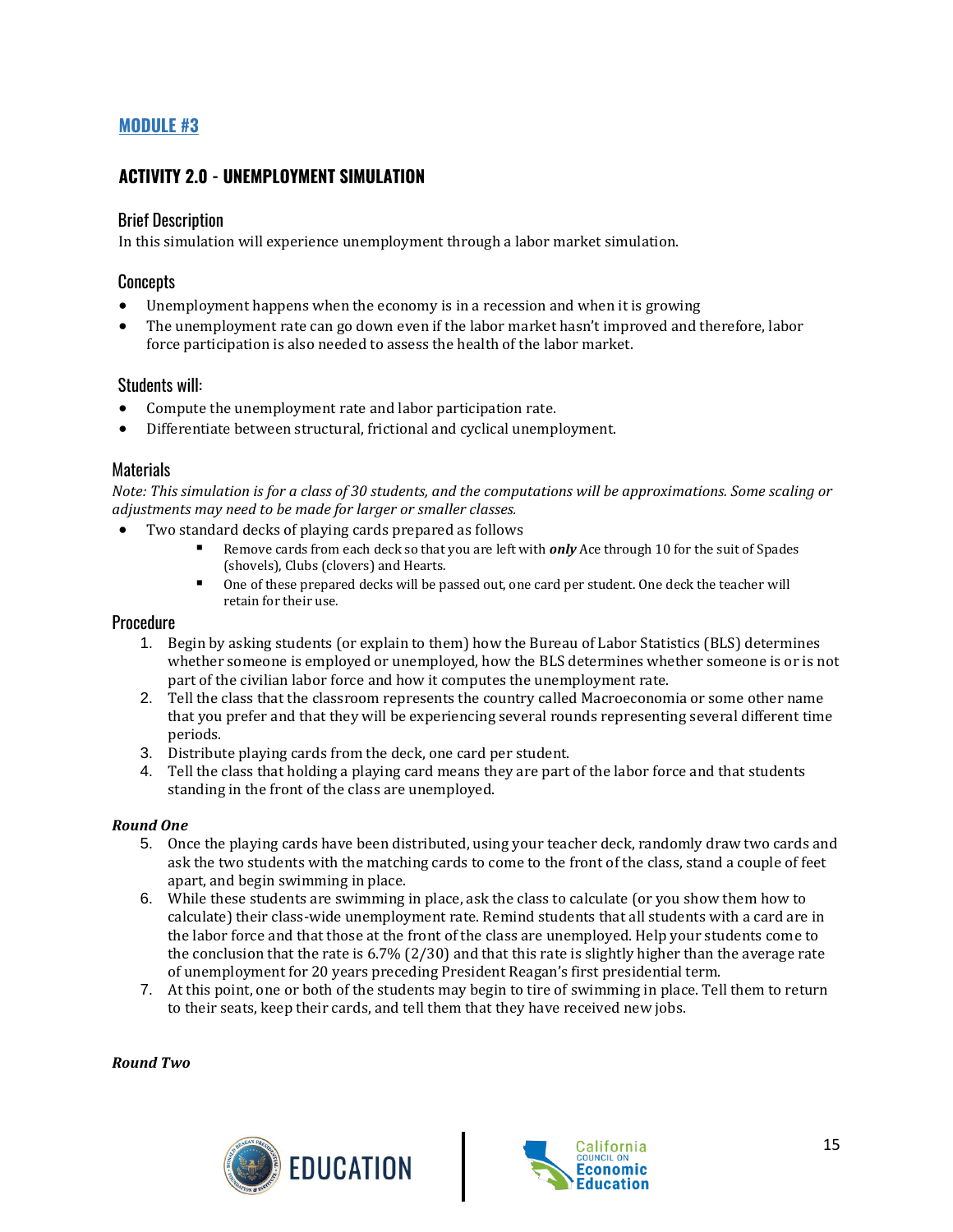#### **MODULE #3**

#### **ACTIVITY 2.0 - UNEMPLOYMENT SIMULATION**

#### Brief Description

In this simulation will experience unemployment through a labor market simulation.

#### **Concepts**

- Unemployment happens when the economy is in a recession and when it is growing
- The unemployment rate can go down even if the labor market hasn't improved and therefore, labor force participation is also needed to assess the health of the labor market.

#### Students will:

- Compute the unemployment rate and labor participation rate.
- Differentiate between structural, frictional and cyclical unemployment.

#### **Materials**

*Note: This simulation is for a class of 30 students, and the computations will be approximations. Some scaling or adjustments may need to be made for larger or smaller classes.*

- Two standard decks of playing cards prepared as follows
	- Remove cards from each deck so that you are left with *only* Ace through 10 for the suit of Spades (shovels), Clubs (clovers) and Hearts.
	- One of these prepared decks will be passed out, one card per student. One deck the teacher will retain for their use.

#### **Procedure**

- 1. Begin by asking students (or explain to them) how the Bureau of Labor Statistics (BLS) determines whether someone is employed or unemployed, how the BLS determines whether someone is or is not part of the civilian labor force and how it computes the unemployment rate.
- 2. Tell the class that the classroom represents the country called Macroeconomia or some other name that you prefer and that they will be experiencing several rounds representing several different time periods.
- 3. Distribute playing cards from the deck, one card per student.
- 4. Tell the class that holding a playing card means they are part of the labor force and that students standing in the front of the class are unemployed.

#### *Round One*

- 5. Once the playing cards have been distributed, using your teacher deck, randomly draw two cards and ask the two students with the matching cards to come to the front of the class, stand a couple of feet apart, and begin swimming in place.
- 6. While these students are swimming in place, ask the class to calculate (or you show them how to calculate) their class-wide unemployment rate. Remind students that all students with a card are in the labor force and that those at the front of the class are unemployed. Help your students come to the conclusion that the rate is 6.7% (2/30) and that this rate is slightly higher than the average rate of unemployment for 20 years preceding President Reagan's first presidential term.
- 7. At this point, one or both of the students may begin to tire of swimming in place. Tell them to return to their seats, keep their cards, and tell them that they have received new jobs.

#### *Round Two*



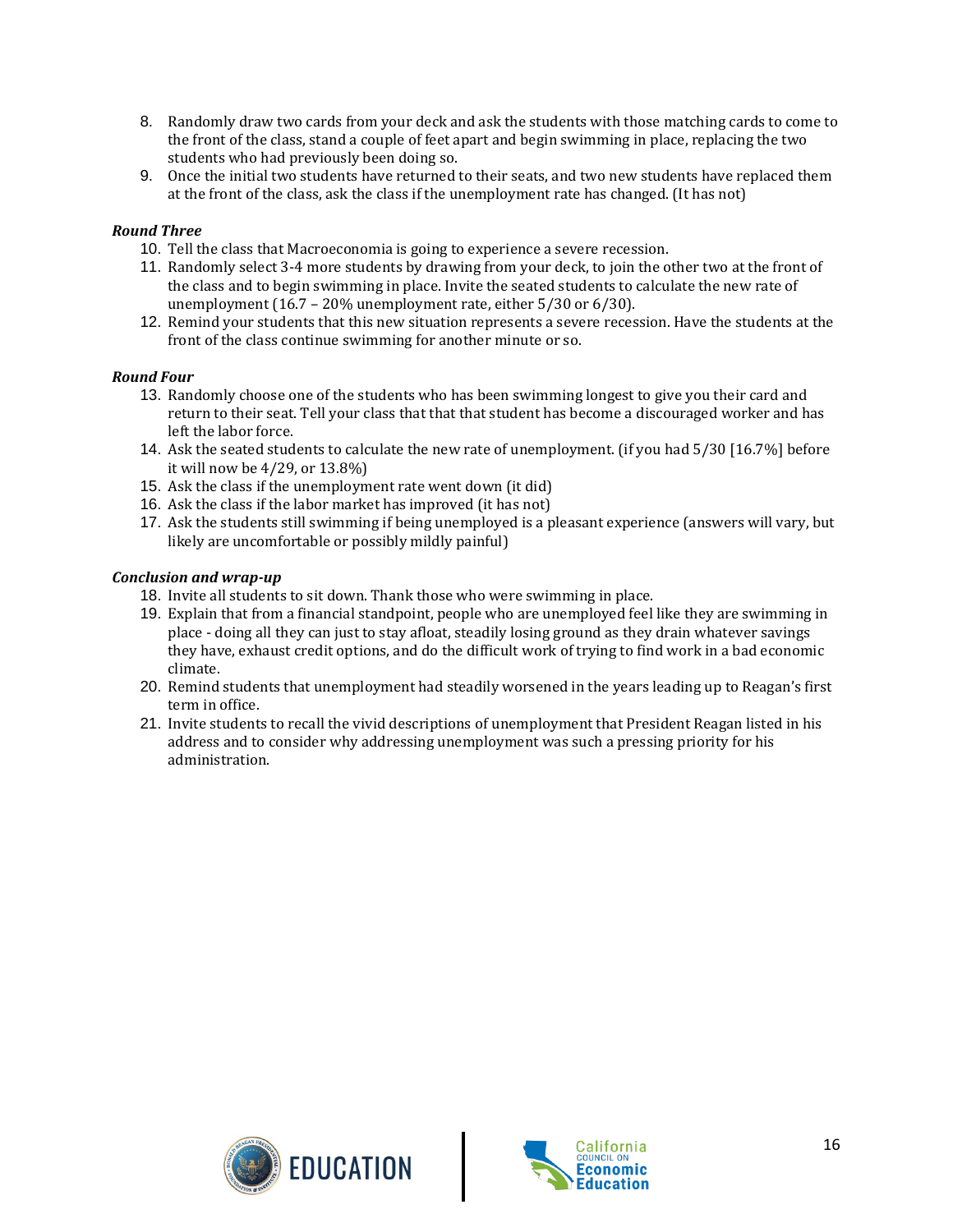- 8. Randomly draw two cards from your deck and ask the students with those matching cards to come to the front of the class, stand a couple of feet apart and begin swimming in place, replacing the two students who had previously been doing so.
- 9. Once the initial two students have returned to their seats, and two new students have replaced them at the front of the class, ask the class if the unemployment rate has changed. (It has not)

#### *Round Three*

- 10. Tell the class that Macroeconomia is going to experience a severe recession.
- 11. Randomly select 3-4 more students by drawing from your deck, to join the other two at the front of the class and to begin swimming in place. Invite the seated students to calculate the new rate of unemployment (16.7 – 20% unemployment rate, either 5/30 or 6/30).
- 12. Remind your students that this new situation represents a severe recession. Have the students at the front of the class continue swimming for another minute or so.

#### *Round Four*

- 13. Randomly choose one of the students who has been swimming longest to give you their card and return to their seat. Tell your class that that that student has become a discouraged worker and has left the labor force.
- 14. Ask the seated students to calculate the new rate of unemployment. (if you had 5/30 [16.7%] before it will now be 4/29, or 13.8%)
- 15. Ask the class if the unemployment rate went down (it did)
- 16. Ask the class if the labor market has improved (it has not)
- 17. Ask the students still swimming if being unemployed is a pleasant experience (answers will vary, but likely are uncomfortable or possibly mildly painful)

#### *Conclusion and wrap-up*

- 18. Invite all students to sit down. Thank those who were swimming in place.
- 19. Explain that from a financial standpoint, people who are unemployed feel like they are swimming in place - doing all they can just to stay afloat, steadily losing ground as they drain whatever savings they have, exhaust credit options, and do the difficult work of trying to find work in a bad economic climate.
- 20. Remind students that unemployment had steadily worsened in the years leading up to Reagan's first term in office.
- 21. Invite students to recall the vivid descriptions of unemployment that President Reagan listed in his address and to consider why addressing unemployment was such a pressing priority for his administration.



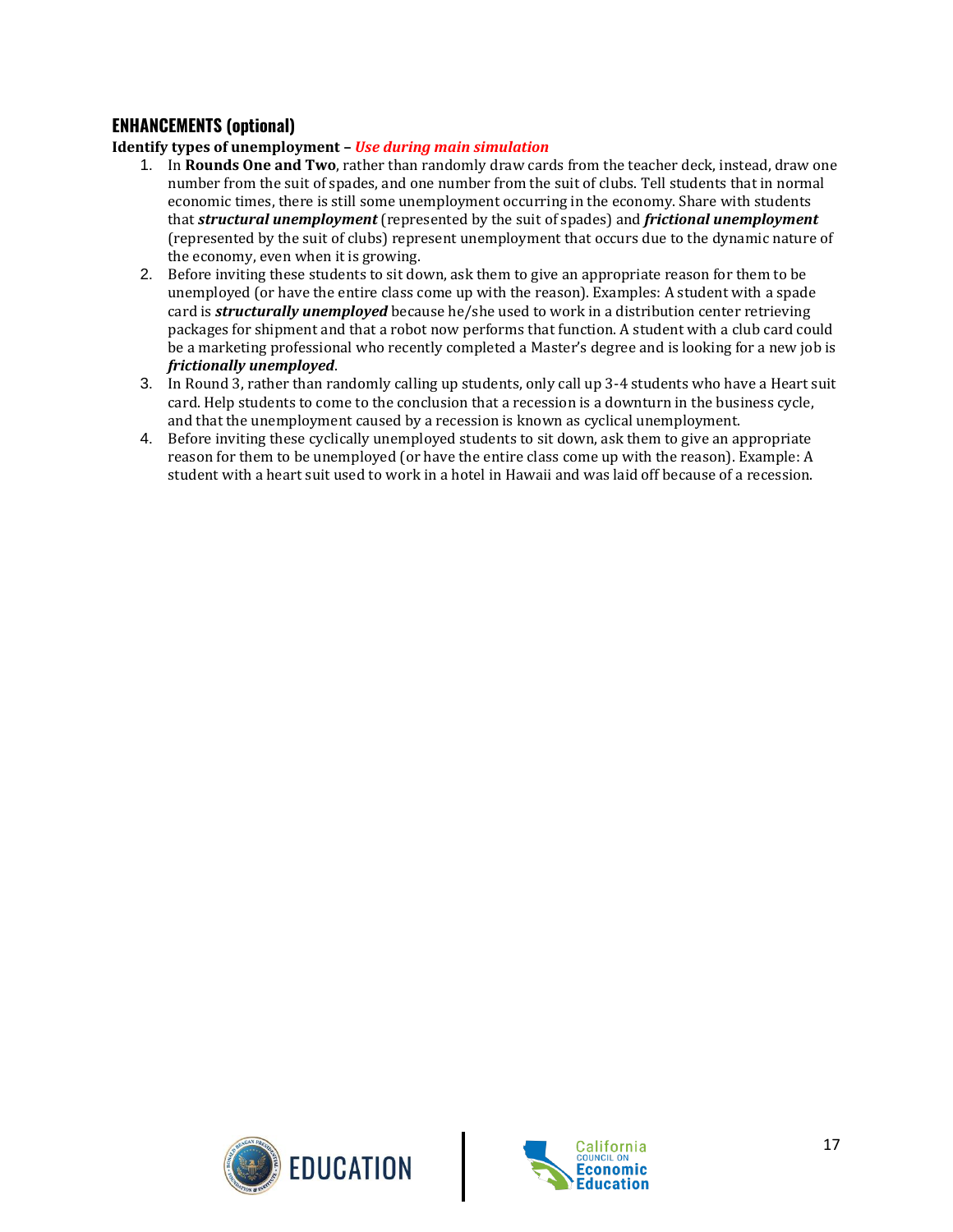#### **ENHANCEMENTS (optional)**

**Identify types of unemployment –** *Use during main simulation*

- 1. In **Rounds One and Two**, rather than randomly draw cards from the teacher deck, instead, draw one number from the suit of spades, and one number from the suit of clubs. Tell students that in normal economic times, there is still some unemployment occurring in the economy. Share with students that *structural unemployment* (represented by the suit of spades) and *frictional unemployment* (represented by the suit of clubs) represent unemployment that occurs due to the dynamic nature of the economy, even when it is growing.
- 2. Before inviting these students to sit down, ask them to give an appropriate reason for them to be unemployed (or have the entire class come up with the reason). Examples: A student with a spade card is *structurally unemployed* because he/she used to work in a distribution center retrieving packages for shipment and that a robot now performs that function. A student with a club card could be a marketing professional who recently completed a Master's degree and is looking for a new job is *frictionally unemployed*.
- 3. In Round 3, rather than randomly calling up students, only call up 3-4 students who have a Heart suit card. Help students to come to the conclusion that a recession is a downturn in the business cycle, and that the unemployment caused by a recession is known as cyclical unemployment.
- 4. Before inviting these cyclically unemployed students to sit down, ask them to give an appropriate reason for them to be unemployed (or have the entire class come up with the reason). Example: A student with a heart suit used to work in a hotel in Hawaii and was laid off because of a recession.